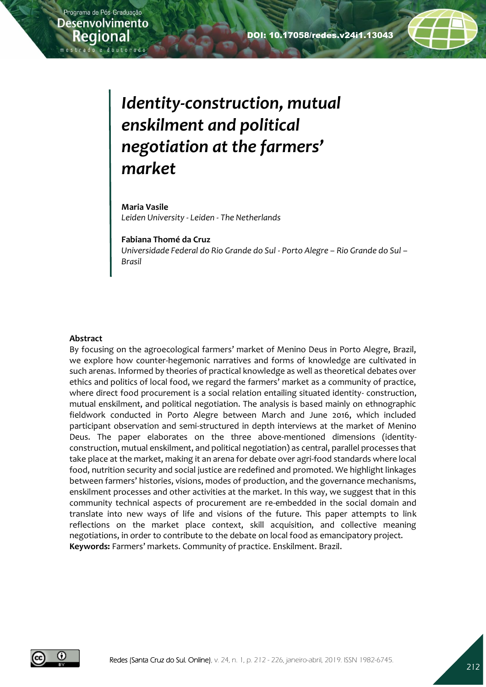

# *Identity-construction, mutual enskilment and political negotiation at the farmers' market*

**Maria Vasile** *Leiden University - Leiden - The Netherlands*

**Fabiana Thomé da Cruz** *Universidade Federal do Rio Grande do Sul - Porto Alegre – Rio Grande do Sul – Brasil*

#### **Abstract**

By focusing on the agroecological farmers' market of Menino Deus in Porto Alegre, Brazil, we explore how counter-hegemonic narratives and forms of knowledge are cultivated in such arenas. Informed by theories of practical knowledge as well as theoretical debates over ethics and politics of local food, we regard the farmers' market as a community of practice, where direct food procurement is a social relation entailing situated identity- construction, mutual enskilment, and political negotiation. The analysis is based mainly on ethnographic fieldwork conducted in Porto Alegre between March and June 2016, which included participant observation and semi-structured in depth interviews at the market of Menino Deus. The paper elaborates on the three above-mentioned dimensions (identityconstruction, mutual enskilment, and political negotiation) as central, parallel processes that take place at the market, making it an arena for debate over agri-food standards where local food, nutrition security and social justice are redefined and promoted. We highlight linkages between farmers' histories, visions, modes of production, and the governance mechanisms, enskilment processes and other activities at the market. In this way, we suggest that in this community technical aspects of procurement are re-embedded in the social domain and translate into new ways of life and visions of the future. This paper attempts to link reflections on the market place context, skill acquisition, and collective meaning negotiations, in order to contribute to the debate on local food as emancipatory project. **Keywords:** Farmers' markets. Community of practice. Enskilment. Brazil.

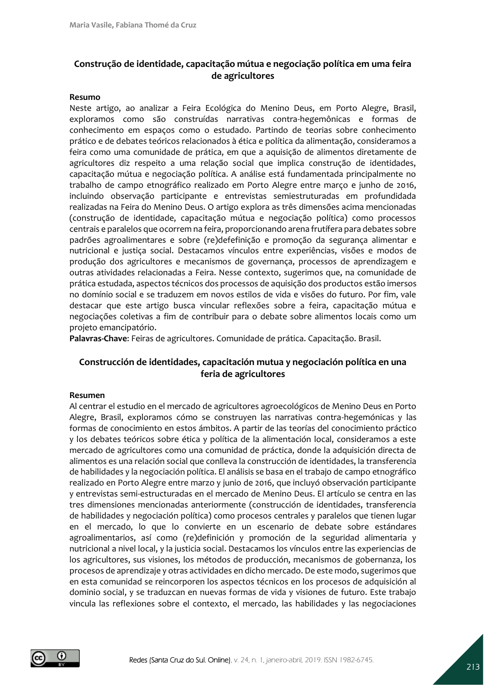# **Construção de identidade, capacitação mútua e negociação política em uma feira de agricultores**

#### **Resumo**

Neste artigo, ao analizar a Feira Ecológica do Menino Deus, em Porto Alegre, Brasil, exploramos como são construídas narrativas contra-hegemônicas e formas de conhecimento em espaços como o estudado. Partindo de teorias sobre conhecimento prático e de debates teóricos relacionados à ética e política da alimentação, consideramos a feira como uma comunidade de prática, em que a aquisição de alimentos diretamente de agricultores diz respeito a uma relação social que implica construção de identidades, capacitação mútua e negociação política. A análise está fundamentada principalmente no trabalho de campo etnográfico realizado em Porto Alegre entre março e junho de 2016, incluindo observação participante e entrevistas semiestruturadas em profundidada realizadas na Feira do Menino Deus. O artigo explora as três dimensões acima mencionadas (construção de identidade, capacitação mútua e negociação política) como processos centrais e paralelos que ocorrem na feira, proporcionando arena frutífera para debates sobre padrões agroalimentares e sobre (re)defefinição e promoção da segurança alimentar e nutricional e justiça social. Destacamos vínculos entre experiências, visões e modos de produção dos agricultores e mecanismos de governança, processos de aprendizagem e outras atividades relacionadas a Feira. Nesse contexto, sugerimos que, na comunidade de prática estudada, aspectos técnicos dos processos de aquisição dos productos estão imersos no domínio social e se traduzem em novos estilos de vida e visões do futuro. Por fim, vale destacar que este artigo busca vincular reflexões sobre a feira, capacitação mútua e negociações coletivas a fim de contribuir para o debate sobre alimentos locais como um projeto emancipatório.

**Palavras-Chave**: Feiras de agricultores. Comunidade de prática. Capacitação. Brasil.

### **Construcción de identidades, capacitación mutua y negociación política en una feria de agricultores**

#### **Resumen**

Al centrar el estudio en el mercado de agricultores agroecológicos de Menino Deus en Porto Alegre, Brasil, exploramos cómo se construyen las narrativas contra-hegemónicas y las formas de conocimiento en estos ámbitos. A partir de las teorías del conocimiento práctico y los debates teóricos sobre ética y política de la alimentación local, consideramos a este mercado de agricultores como una comunidad de práctica, donde la adquisición directa de alimentos es una relación social que conlleva la construcción de identidades, la transferencia de habilidades y la negociación política. El análisis se basa en el trabajo de campo etnográfico realizado en Porto Alegre entre marzo y junio de 2016, que incluyó observación participante y entrevistas semi-estructuradas en el mercado de Menino Deus. El artículo se centra en las tres dimensiones mencionadas anteriormente (construcción de identidades, transferencia de habilidades y negociación política) como procesos centrales y paralelos que tienen lugar en el mercado, lo que lo convierte en un escenario de debate sobre estándares agroalimentarios, así como (re)definición y promoción de la seguridad alimentaria y nutricional a nivel local, y la justicia social. Destacamos los vínculos entre las experiencias de los agricultores, sus visiones, los métodos de producción, mecanismos de gobernanza, los procesos de aprendizaje y otras actividades en dicho mercado. De este modo, sugerimos que en esta comunidad se reincorporen los aspectos técnicos en los procesos de adquisición al dominio social, y se traduzcan en nuevas formas de vida y visiones de futuro. Este trabajo vincula las reflexiones sobre el contexto, el mercado, las habilidades y las negociaciones

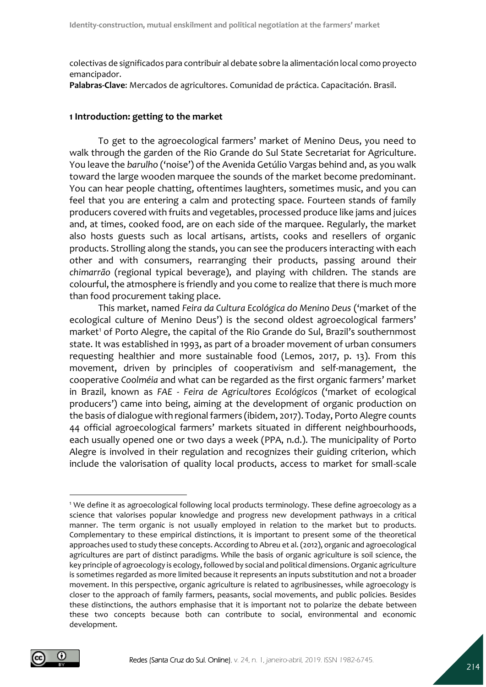colectivas de significados para contribuir al debate sobre la alimentación local como proyecto emancipador.

**Palabras-Clave**: Mercados de agricultores. Comunidad de práctica. Capacitación. Brasil.

#### **1 Introduction: getting to the market**

To get to the agroecological farmers' market of Menino Deus, you need to walk through the garden of the Rio Grande do Sul State Secretariat for Agriculture. You leave the *barulho* ('noise') of the Avenida Getúlio Vargas behind and, as you walk toward the large wooden marquee the sounds of the market become predominant. You can hear people chatting, oftentimes laughters, sometimes music, and you can feel that you are entering a calm and protecting space. Fourteen stands of family producers covered with fruits and vegetables, processed produce like jams and juices and, at times, cooked food, are on each side of the marquee. Regularly, the market also hosts guests such as local artisans, artists, cooks and resellers of organic products. Strolling along the stands, you can see the producers interacting with each other and with consumers, rearranging their products, passing around their *chimarrão* (regional typical beverage), and playing with children. The stands are colourful, the atmosphere is friendly and you come to realize that there is much more than food procurement taking place.

This market, named *Feira da Cultura Ecológica do Menino Deus* ('market of the ecological culture of Menino Deus') is the second oldest agroecological farmers' market<sup>1</sup> of Porto Alegre, the capital of the Rio Grande do Sul, Brazil's southernmost state. It was established in 1993, as part of a broader movement of urban consumers requesting healthier and more sustainable food (Lemos, 2017, p. 13). From this movement, driven by principles of cooperativism and self-management, the cooperative *Coolméia* and what can be regarded as the first organic farmers' market in Brazil, known as *FAE* - *Feira de Agricultores Ecológicos* ('market of ecological producers') came into being, aiming at the development of organic production on the basis of dialogue with regional farmers (ibidem, 2017). Today, Porto Alegre counts 44 official agroecological farmers' markets situated in different neighbourhoods, each usually opened one or two days a week (PPA, n.d.). The municipality of Porto Alegre is involved in their regulation and recognizes their guiding criterion, which include the valorisation of quality local products, access to market for small-scale

<sup>1</sup> We define it as agroecological following local products terminology. These define agroecology as a science that valorises popular knowledge and progress new development pathways in a critical manner. The term organic is not usually employed in relation to the market but to products. Complementary to these empirical distinctions, it is important to present some of the theoretical approaches used to study these concepts. According to Abreu et al. (2012), organic and agroecological agricultures are part of distinct paradigms. While the basis of organic agriculture is soil science, the key principle of agroecology is ecology, followed by social and political dimensions. Organic agriculture is sometimes regarded as more limited because it represents an inputs substitution and not a broader movement. In this perspective, organic agriculture is related to agribusinesses, while agroecology is closer to the approach of family farmers, peasants, social movements, and public policies. Besides these distinctions, the authors emphasise that it is important not to polarize the debate between these two concepts because both can contribute to social, environmental and economic development.

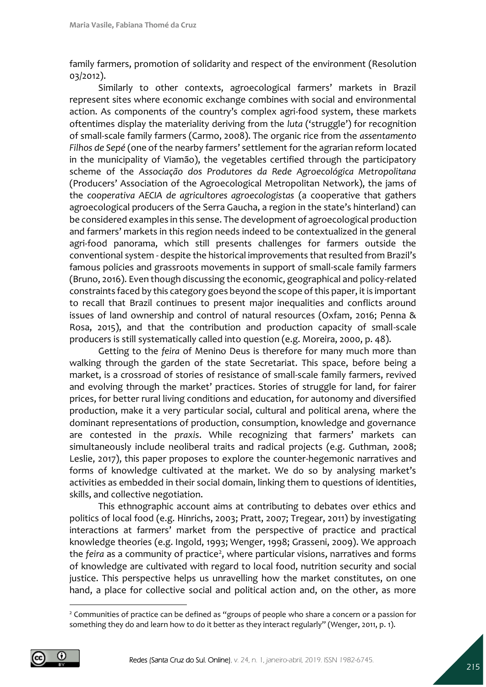family farmers, promotion of solidarity and respect of the environment (Resolution 03/2012).

Similarly to other contexts, agroecological farmers' markets in Brazil represent sites where economic exchange combines with social and environmental action. As components of the country's complex agri-food system, these markets oftentimes display the materiality deriving from the *luta* ('struggle') for recognition of small-scale family farmers (Carmo, 2008). The organic rice from the *assentamento Filhos de Sepé* (one of the nearby farmers' settlement for the agrarian reform located in the municipality of Viamão), the vegetables certified through the participatory scheme of the *Associação dos Produtores da Rede Agroecológica Metropolitana*  (Producers' Association of the Agroecological Metropolitan Network), the jams of the *cooperativa AECIA de agricultores agroecologistas* (a cooperative that gathers agroecological producers of the Serra Gaucha, a region in the state's hinterland) can be considered examples in this sense. The development of agroecological production and farmers' markets in this region needs indeed to be contextualized in the general agri-food panorama, which still presents challenges for farmers outside the conventional system - despite the historical improvements that resulted from Brazil's famous policies and grassroots movements in support of small-scale family farmers (Bruno, 2016). Even though discussing the economic, geographical and policy-related constraints faced by this category goes beyond the scope of this paper, it is important to recall that Brazil continues to present major inequalities and conflicts around issues of land ownership and control of natural resources (Oxfam, 2016; Penna & Rosa, 2015), and that the contribution and production capacity of small-scale producers is still systematically called into question (e.g. Moreira, 2000, p. 48).

Getting to the *feira* of Menino Deus is therefore for many much more than walking through the garden of the state Secretariat. This space, before being a market, is a crossroad of stories of resistance of small-scale family farmers, revived and evolving through the market' practices. Stories of struggle for land, for fairer prices, for better rural living conditions and education, for autonomy and diversified production, make it a very particular social, cultural and political arena, where the dominant representations of production, consumption, knowledge and governance are contested in the *praxis*. While recognizing that farmers' markets can simultaneously include neoliberal traits and radical projects (e.g. Guthman, 2008; Leslie, 2017), this paper proposes to explore the counter-hegemonic narratives and forms of knowledge cultivated at the market. We do so by analysing market's activities as embedded in their social domain, linking them to questions of identities, skills, and collective negotiation.

This ethnographic account aims at contributing to debates over ethics and politics of local food (e.g. Hinrichs, 2003; Pratt, 2007; Tregear, 2011) by investigating interactions at farmers' market from the perspective of practice and practical knowledge theories (e.g. Ingold, 1993; Wenger, 1998; Grasseni, 2009). We approach the feira as a community of practice<sup>2</sup>, where particular visions, narratives and forms of knowledge are cultivated with regard to local food, nutrition security and social justice. This perspective helps us unravelling how the market constitutes, on one hand, a place for collective social and political action and, on the other, as more

<sup>&</sup>lt;sup>2</sup> Communities of practice can be defined as "groups of people who share a concern or a passion for something they do and learn how to do it better as they interact regularly" (Wenger, 2011, p. 1).

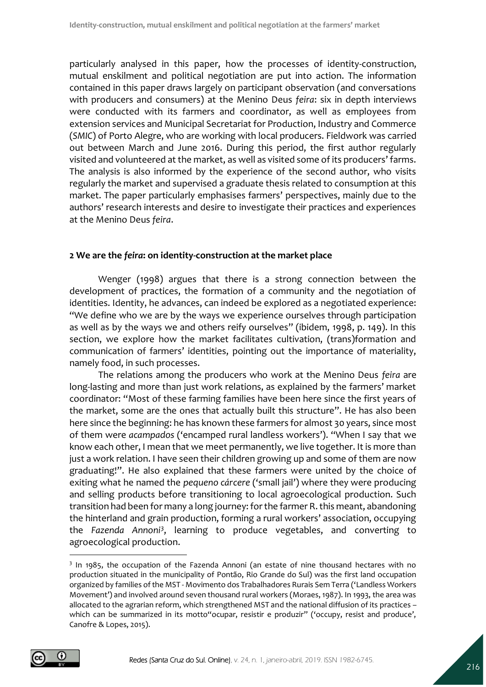particularly analysed in this paper, how the processes of identity-construction, mutual enskilment and political negotiation are put into action. The information contained in this paper draws largely on participant observation (and conversations with producers and consumers) at the Menino Deus *feira*: six in depth interviews were conducted with its farmers and coordinator, as well as employees from extension services and Municipal Secretariat for Production, Industry and Commerce (*SMIC*) of Porto Alegre, who are working with local producers. Fieldwork was carried out between March and June 2016. During this period, the first author regularly visited and volunteered at the market, as well as visited some of its producers' farms. The analysis is also informed by the experience of the second author, who visits regularly the market and supervised a graduate thesis related to consumption at this market. The paper particularly emphasises farmers' perspectives, mainly due to the authors' research interests and desire to investigate their practices and experiences at the Menino Deus *feira*.

### **2 We are the** *feira***: on identity-construction at the market place**

Wenger (1998) argues that there is a strong connection between the development of practices, the formation of a community and the negotiation of identities. Identity, he advances, can indeed be explored as a negotiated experience: "We define who we are by the ways we experience ourselves through participation as well as by the ways we and others reify ourselves" (ibidem, 1998, p. 149). In this section, we explore how the market facilitates cultivation, (trans)formation and communication of farmers' identities, pointing out the importance of materiality, namely food, in such processes.

The relations among the producers who work at the Menino Deus *feira* are long-lasting and more than just work relations, as explained by the farmers' market coordinator: "Most of these farming families have been here since the first years of the market, some are the ones that actually built this structure". He has also been here since the beginning: he has known these farmers for almost 30 years, since most of them were *acampados* ('encamped rural landless workers'). "When I say that we know each other, I mean that we meet permanently, we live together. It is more than just a work relation. I have seen their children growing up and some of them are now graduating!". He also explained that these farmers were united by the choice of exiting what he named the *pequeno cárcere* ('small jail') where they were producing and selling products before transitioning to local agroecological production. Such transition had been for many a long journey: for the farmer R. this meant, abandoning the hinterland and grain production, forming a rural workers' association, occupying the Fazenda Annoni<sup>3</sup>, learning to produce vegetables, and converting to agroecological production.

<sup>&</sup>lt;sup>3</sup> In 1985, the occupation of the Fazenda Annoni (an estate of nine thousand hectares with no production situated in the municipality of Pontão, Rio Grande do Sul) was the first land occupation organized by families of the MST - Movimento dos Trabalhadores Rurais Sem Terra ('Landless Workers Movement') and involved around seven thousand rural workers (Moraes, 1987). In 1993, the area was allocated to the agrarian reform, which strengthened MST and the national diffusion of its practices – which can be summarized in its motto" ocupar, resistir e produzir" ('occupy, resist and produce', Canofre & Lopes, 2015).

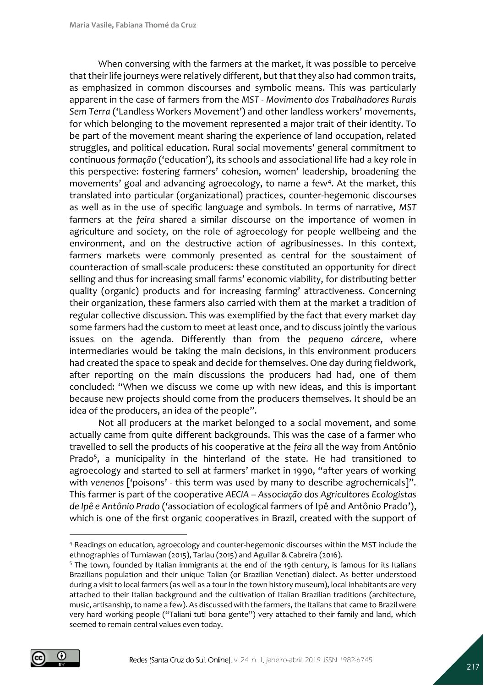When conversing with the farmers at the market, it was possible to perceive that their life journeys were relatively different, but that they also had common traits, as emphasized in common discourses and symbolic means. This was particularly apparent in the case of farmers from the *MST - Movimento dos Trabalhadores Rurais Sem Terra* ('Landless Workers Movement') and other landless workers' movements, for which belonging to the movement represented a major trait of their identity. To be part of the movement meant sharing the experience of land occupation, related struggles, and political education. Rural social movements' general commitment to continuous *formação* ('education'), its schools and associational life had a key role in this perspective: fostering farmers' cohesion, women' leadership, broadening the movements' goal and advancing agroecology, to name a few<sup>4</sup>. At the market, this translated into particular (organizational) practices, counter-hegemonic discourses as well as in the use of specific language and symbols. In terms of narrative, *MST* farmers at the *feira* shared a similar discourse on the importance of women in agriculture and society, on the role of agroecology for people wellbeing and the environment, and on the destructive action of agribusinesses. In this context, farmers markets were commonly presented as central for the soustaiment of counteraction of small-scale producers: these constituted an opportunity for direct selling and thus for increasing small farms' economic viability, for distributing better quality (organic) products and for increasing farming' attractiveness. Concerning their organization, these farmers also carried with them at the market a tradition of regular collective discussion. This was exemplified by the fact that every market day some farmers had the custom to meet at least once, and to discuss jointly the various issues on the agenda. Differently than from the *pequeno cárcere*, where intermediaries would be taking the main decisions, in this environment producers had created the space to speak and decide for themselves. One day during fieldwork, after reporting on the main discussions the producers had had, one of them concluded: "When we discuss we come up with new ideas, and this is important because new projects should come from the producers themselves. It should be an idea of the producers, an idea of the people".

Not all producers at the market belonged to a social movement, and some actually came from quite different backgrounds. This was the case of a farmer who travelled to sell the products of his cooperative at the *feira* all the way from Antônio Prado<sup>5</sup>, a municipality in the hinterland of the state. He had transitioned to agroecology and started to sell at farmers' market in 1990, "after years of working with *venenos* ['poisons' - this term was used by many to describe agrochemicals]". This farmer is part of the cooperative *AECIA* – *Associação dos Agricultores Ecologistas de Ipê e Antônio Prado* ('association of ecological farmers of Ipê and Antônio Prado'), which is one of the first organic cooperatives in Brazil, created with the support of

<sup>&</sup>lt;sup>5</sup> The town, founded by Italian immigrants at the end of the 19th century, is famous for its Italians Brazilians population and their unique Talian (or Brazilian Venetian) dialect. As better understood during a visit to local farmers (as well as a tour in the town history museum), local inhabitants are very attached to their Italian background and the cultivation of Italian Brazilian traditions (architecture, music, artisanship, to name a few). As discussed with the farmers, the Italians that came to Brazil were very hard working people ("Taliani tuti bona gente") very attached to their family and land, which seemed to remain central values even today.



<sup>4</sup> Readings on education, agroecology and counter-hegemonic discourses within the MST include the ethnographies of Turniawan (2015), Tarlau (2015) and Aguillar & Cabreira (2016).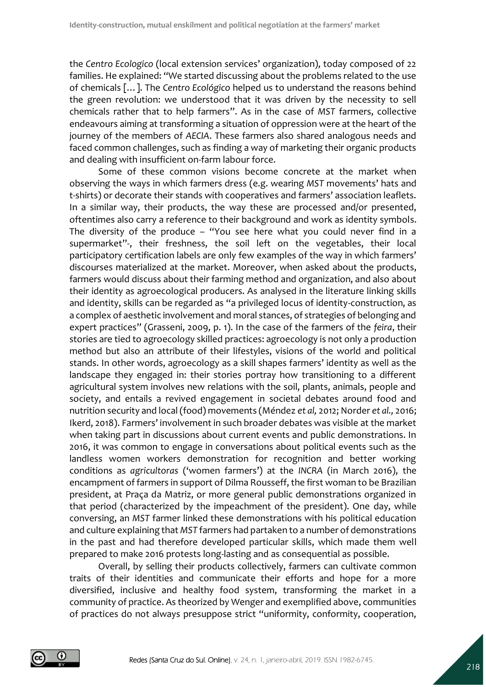the *Centro Ecologico* (local extension services' organization), today composed of 22 families. He explained: "We started discussing about the problems related to the use of chemicals […]. The *Centro Ecológico* helped us to understand the reasons behind the green revolution: we understood that it was driven by the necessity to sell chemicals rather that to help farmers". As in the case of *MST* farmers, collective endeavours aiming at transforming a situation of oppression were at the heart of the journey of the members of *AECIA*. These farmers also shared analogous needs and faced common challenges, such as finding a way of marketing their organic products and dealing with insufficient on-farm labour force.

Some of these common visions become concrete at the market when observing the ways in which farmers dress (e.g. wearing *MST* movements' hats and t-shirts) or decorate their stands with cooperatives and farmers' association leaflets. In a similar way, their products, the way these are processed and/or presented, oftentimes also carry a reference to their background and work as identity symbols. The diversity of the produce  $-$  "You see here what you could never find in a supermarket"-, their freshness, the soil left on the vegetables, their local participatory certification labels are only few examples of the way in which farmers' discourses materialized at the market. Moreover, when asked about the products, farmers would discuss about their farming method and organization, and also about their identity as agroecological producers. As analysed in the literature linking skills and identity, skills can be regarded as "a privileged locus of identity-construction, as a complex of aesthetic involvement and moral stances, of strategies of belonging and expert practices" (Grasseni, 2009, p. 1). In the case of the farmers of the *feira*, their stories are tied to agroecology skilled practices: agroecology is not only a production method but also an attribute of their lifestyles, visions of the world and political stands. In other words, agroecology as a skill shapes farmers' identity as well as the landscape they engaged in: their stories portray how transitioning to a different agricultural system involves new relations with the soil, plants, animals, people and society, and entails a revived engagement in societal debates around food and nutrition security and local (food) movements (Méndez *et al,* 2012; Norder *et al.,* 2016; Ikerd, 2018). Farmers' involvement in such broader debates was visible at the market when taking part in discussions about current events and public demonstrations. In 2016, it was common to engage in conversations about political events such as the landless women workers demonstration for recognition and better working conditions as *agricultoras* ('women farmers') at the *INCRA* (in March 2016), the encampment of farmers in support of Dilma Rousseff, the first woman to be Brazilian president, at Praça da Matriz, or more general public demonstrations organized in that period (characterized by the impeachment of the president). One day, while conversing, an *MST* farmer linked these demonstrations with his political education and culture explaining that *MST* farmers had partaken to a number of demonstrations in the past and had therefore developed particular skills, which made them well prepared to make 2016 protests long-lasting and as consequential as possible.

Overall, by selling their products collectively, farmers can cultivate common traits of their identities and communicate their efforts and hope for a more diversified, inclusive and healthy food system, transforming the market in a community of practice. As theorized by Wenger and exemplified above, communities of practices do not always presuppose strict "uniformity, conformity, cooperation,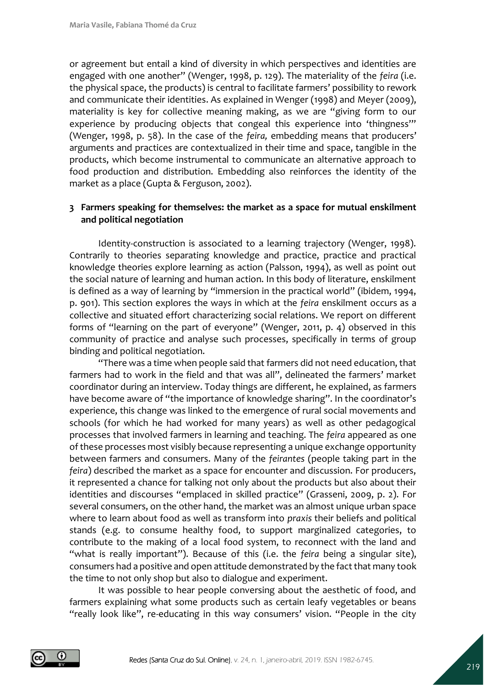or agreement but entail a kind of diversity in which perspectives and identities are engaged with one another" (Wenger, 1998, p. 129). The materiality of the *feira* (i.e. the physical space, the products) is central to facilitate farmers' possibility to rework and communicate their identities. As explained in Wenger (1998) and Meyer (2009), materiality is key for collective meaning making, as we are "giving form to our experience by producing objects that congeal this experience into 'thingness'" (Wenger, 1998, p. 58). In the case of the *feira,* embedding means that producers' arguments and practices are contextualized in their time and space, tangible in the products, which become instrumental to communicate an alternative approach to food production and distribution. Embedding also reinforces the identity of the market as a place (Gupta & Ferguson, 2002).

## **3 Farmers speaking for themselves: the market as a space for mutual enskilment and political negotiation**

Identity-construction is associated to a learning trajectory (Wenger, 1998). Contrarily to theories separating knowledge and practice, practice and practical knowledge theories explore learning as action (Palsson, 1994), as well as point out the social nature of learning and human action. In this body of literature, enskilment is defined as a way of learning by "immersion in the practical world" (ibidem, 1994, p. 901). This section explores the ways in which at the *feira* enskilment occurs as a collective and situated effort characterizing social relations. We report on different forms of "learning on the part of everyone" (Wenger, 2011, p. 4) observed in this community of practice and analyse such processes, specifically in terms of group binding and political negotiation.

"There was a time when people said that farmers did not need education, that farmers had to work in the field and that was all", delineated the farmers' market coordinator during an interview. Today things are different, he explained, as farmers have become aware of "the importance of knowledge sharing". In the coordinator's experience, this change was linked to the emergence of rural social movements and schools (for which he had worked for many years) as well as other pedagogical processes that involved farmers in learning and teaching. The *feira* appeared as one of these processes most visibly because representing a unique exchange opportunity between farmers and consumers. Many of the *feirantes* (people taking part in the *feira*) described the market as a space for encounter and discussion. For producers, it represented a chance for talking not only about the products but also about their identities and discourses "emplaced in skilled practice" (Grasseni, 2009, p. 2). For several consumers, on the other hand, the market was an almost unique urban space where to learn about food as well as transform into *praxis* their beliefs and political stands (e.g. to consume healthy food, to support marginalized categories, to contribute to the making of a local food system, to reconnect with the land and "what is really important"). Because of this (i.e. the *feira* being a singular site), consumers had a positive and open attitude demonstrated by the fact that many took the time to not only shop but also to dialogue and experiment.

It was possible to hear people conversing about the aesthetic of food, and farmers explaining what some products such as certain leafy vegetables or beans "really look like", re-educating in this way consumers' vision. "People in the city

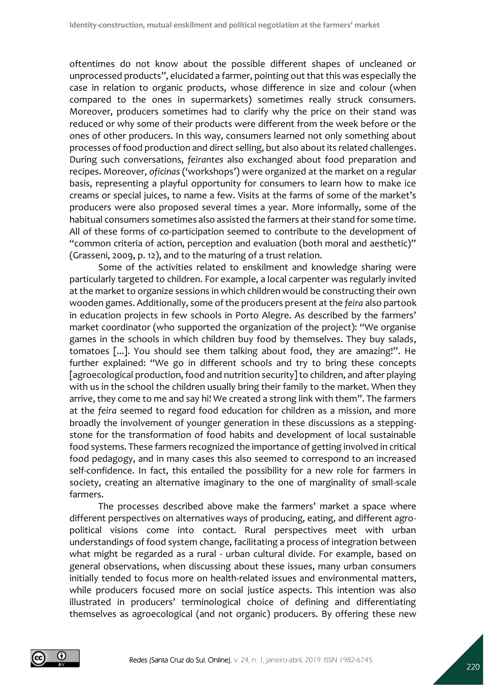oftentimes do not know about the possible different shapes of uncleaned or unprocessed products", elucidated a farmer, pointing out that this was especially the case in relation to organic products, whose difference in size and colour (when compared to the ones in supermarkets) sometimes really struck consumers. Moreover, producers sometimes had to clarify why the price on their stand was reduced or why some of their products were different from the week before or the ones of other producers. In this way, consumers learned not only something about processes of food production and direct selling, but also about its related challenges. During such conversations, *feirantes* also exchanged about food preparation and recipes. Moreover, *oficinas* ('workshops') were organized at the market on a regular basis, representing a playful opportunity for consumers to learn how to make ice creams or special juices, to name a few. Visits at the farms of some of the market's producers were also proposed several times a year. More informally, some of the habitual consumers sometimes also assisted the farmers at their stand for some time. All of these forms of co-participation seemed to contribute to the development of "common criteria of action, perception and evaluation (both moral and aesthetic)" (Grasseni, 2009, p. 12), and to the maturing of a trust relation.

Some of the activities related to enskilment and knowledge sharing were particularly targeted to children. For example, a local carpenter was regularly invited at the market to organize sessions in which children would be constructing their own wooden games. Additionally, some of the producers present at the *feira* also partook in education projects in few schools in Porto Alegre. As described by the farmers' market coordinator (who supported the organization of the project): "We organise games in the schools in which children buy food by themselves. They buy salads, tomatoes [...]. You should see them talking about food, they are amazing!". He further explained: "We go in different schools and try to bring these concepts [agroecological production, food and nutrition security] to children, and after playing with us in the school the children usually bring their family to the market. When they arrive, they come to me and say hi! We created a strong link with them". The farmers at the *feira* seemed to regard food education for children as a mission, and more broadly the involvement of younger generation in these discussions as a steppingstone for the transformation of food habits and development of local sustainable food systems. These farmers recognized the importance of getting involved in critical food pedagogy, and in many cases this also seemed to correspond to an increased self-confidence. In fact, this entailed the possibility for a new role for farmers in society, creating an alternative imaginary to the one of marginality of small-scale farmers.

The processes described above make the farmers' market a space where different perspectives on alternatives ways of producing, eating, and different agropolitical visions come into contact. Rural perspectives meet with urban understandings of food system change, facilitating a process of integration between what might be regarded as a rural - urban cultural divide. For example, based on general observations, when discussing about these issues, many urban consumers initially tended to focus more on health-related issues and environmental matters, while producers focused more on social justice aspects. This intention was also illustrated in producers' terminological choice of defining and differentiating themselves as agroecological (and not organic) producers. By offering these new

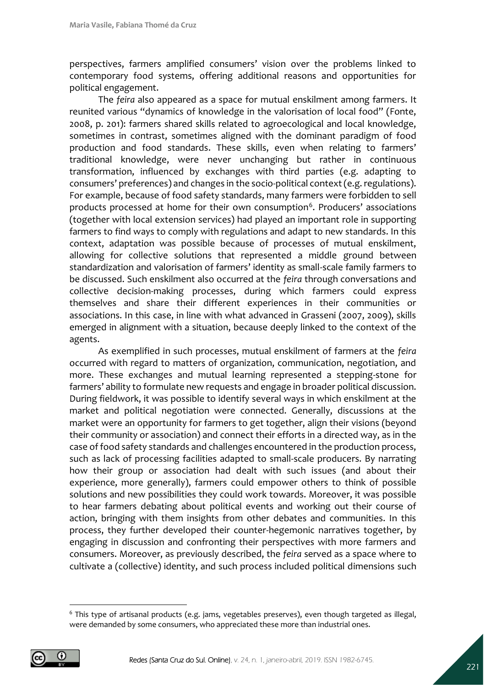perspectives, farmers amplified consumers' vision over the problems linked to contemporary food systems, offering additional reasons and opportunities for political engagement.

The *feira* also appeared as a space for mutual enskilment among farmers. It reunited various "dynamics of knowledge in the valorisation of local food" (Fonte, 2008, p. 201): farmers shared skills related to agroecological and local knowledge, sometimes in contrast, sometimes aligned with the dominant paradigm of food production and food standards. These skills, even when relating to farmers' traditional knowledge, were never unchanging but rather in continuous transformation, influenced by exchanges with third parties (e.g. adapting to consumers' preferences) and changes in the socio-political context (e.g. regulations). For example, because of food safety standards, many farmers were forbidden to sell products processed at home for their own consumption<sup>6</sup>. Producers' associations (together with local extension services) had played an important role in supporting farmers to find ways to comply with regulations and adapt to new standards. In this context, adaptation was possible because of processes of mutual enskilment, allowing for collective solutions that represented a middle ground between standardization and valorisation of farmers' identity as small-scale family farmers to be discussed. Such enskilment also occurred at the *feira* through conversations and collective decision-making processes, during which farmers could express themselves and share their different experiences in their communities or associations. In this case, in line with what advanced in Grasseni (2007, 2009), skills emerged in alignment with a situation, because deeply linked to the context of the agents.

As exemplified in such processes, mutual enskilment of farmers at the *feira* occurred with regard to matters of organization, communication, negotiation, and more. These exchanges and mutual learning represented a stepping-stone for farmers' ability to formulate new requests and engage in broader political discussion. During fieldwork, it was possible to identify several ways in which enskilment at the market and political negotiation were connected. Generally, discussions at the market were an opportunity for farmers to get together, align their visions (beyond their community or association) and connect their efforts in a directed way, as in the case of food safety standards and challenges encountered in the production process, such as lack of processing facilities adapted to small-scale producers. By narrating how their group or association had dealt with such issues (and about their experience, more generally), farmers could empower others to think of possible solutions and new possibilities they could work towards. Moreover, it was possible to hear farmers debating about political events and working out their course of action, bringing with them insights from other debates and communities. In this process, they further developed their counter-hegemonic narratives together, by engaging in discussion and confronting their perspectives with more farmers and consumers. Moreover, as previously described, the *feira* served as a space where to cultivate a (collective) identity, and such process included political dimensions such

<sup>&</sup>lt;sup>6</sup> This type of artisanal products (e.g. jams, vegetables preserves), even though targeted as illegal, were demanded by some consumers, who appreciated these more than industrial ones.

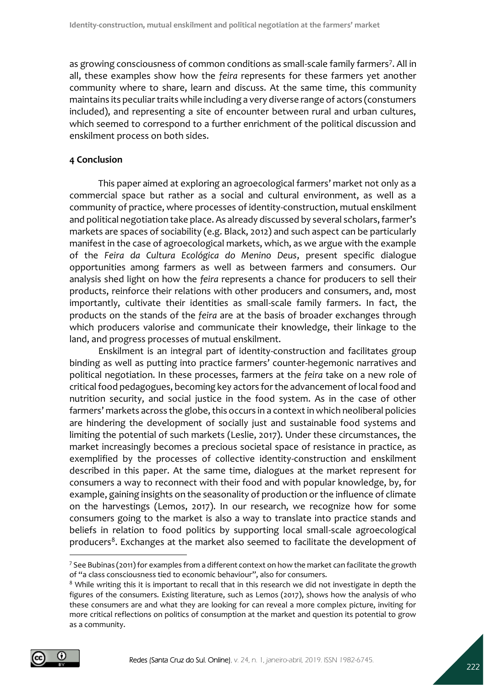as growing consciousness of common conditions as small-scale family farmers<sup>7</sup>. All in all, these examples show how the *feira* represents for these farmers yet another community where to share, learn and discuss. At the same time, this community maintains its peculiar traits while including a very diverse range of actors (constumers included), and representing a site of encounter between rural and urban cultures, which seemed to correspond to a further enrichment of the political discussion and enskilment process on both sides.

# **4 Conclusion**

This paper aimed at exploring an agroecological farmers' market not only as a commercial space but rather as a social and cultural environment, as well as a community of practice, where processes of identity-construction, mutual enskilment and political negotiation take place. As already discussed by several scholars, farmer's markets are spaces of sociability (e.g. Black, 2012) and such aspect can be particularly manifest in the case of agroecological markets, which, as we argue with the example of the *Feira da Cultura Ecológica do Menino Deus*, present specific dialogue opportunities among farmers as well as between farmers and consumers. Our analysis shed light on how the *feira* represents a chance for producers to sell their products, reinforce their relations with other producers and consumers, and, most importantly, cultivate their identities as small-scale family farmers. In fact, the products on the stands of the *feira* are at the basis of broader exchanges through which producers valorise and communicate their knowledge, their linkage to the land, and progress processes of mutual enskilment.

Enskilment is an integral part of identity-construction and facilitates group binding as well as putting into practice farmers' counter-hegemonic narratives and political negotiation. In these processes, farmers at the *feira* take on a new role of critical food pedagogues, becoming key actors for the advancement of local food and nutrition security, and social justice in the food system. As in the case of other farmers' markets across the globe, this occurs in a context in which neoliberal policies are hindering the development of socially just and sustainable food systems and limiting the potential of such markets (Leslie, 2017). Under these circumstances, the market increasingly becomes a precious societal space of resistance in practice, as exemplified by the processes of collective identity-construction and enskilment described in this paper. At the same time, dialogues at the market represent for consumers a way to reconnect with their food and with popular knowledge, by, for example, gaining insights on the seasonality of production or the influence of climate on the harvestings (Lemos, 2017). In our research, we recognize how for some consumers going to the market is also a way to translate into practice stands and beliefs in relation to food politics by supporting local small-scale agroecological producers<sup>8</sup>. Exchanges at the market also seemed to facilitate the development of

<sup>7</sup> See Bubinas (2011) for examples from a different context on how the market can facilitate the growth of "a class consciousness tied to economic behaviour", also for consumers.

 $8$  While writing this it is important to recall that in this research we did not investigate in depth the figures of the consumers. Existing literature, such as Lemos (2017), shows how the analysis of who these consumers are and what they are looking for can reveal a more complex picture, inviting for more critical reflections on politics of consumption at the market and question its potential to grow as a community.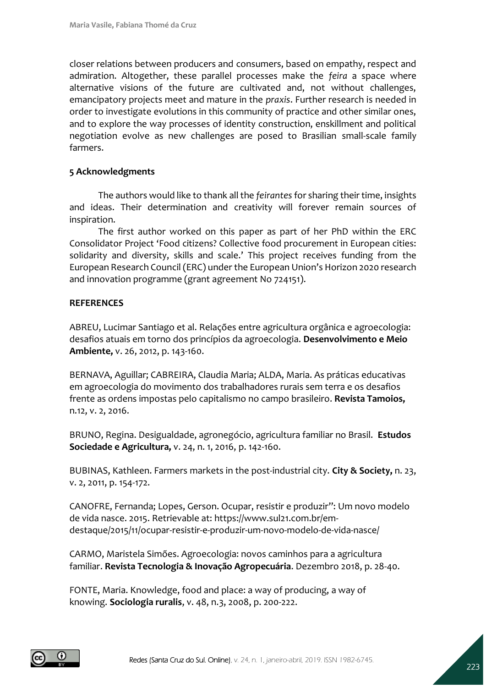closer relations between producers and consumers, based on empathy, respect and admiration. Altogether, these parallel processes make the *feira* a space where alternative visions of the future are cultivated and, not without challenges, emancipatory projects meet and mature in the *praxis*. Further research is needed in order to investigate evolutions in this community of practice and other similar ones, and to explore the way processes of identity construction, enskillment and political negotiation evolve as new challenges are posed to Brasilian small-scale family farmers.

#### **5 Acknowledgments**

The authors would like to thank all the *feirantes* for sharing their time, insights and ideas. Their determination and creativity will forever remain sources of inspiration.

The first author worked on this paper as part of her PhD within the ERC Consolidator Project 'Food citizens? Collective food procurement in European cities: solidarity and diversity, skills and scale.' This project receives funding from the European Research Council (ERC) under the European Union's Horizon 2020 research and innovation programme (grant agreement No 724151).

#### **REFERENCES**

ABREU, Lucimar Santiago et al. Relações entre agricultura orgânica e agroecologia: desafios atuais em torno dos princípios da agroecologia. **Desenvolvimento e Meio Ambiente,** v. 26, 2012, p. 143-160.

BERNAVA, Aguillar; CABREIRA, Claudia Maria; ALDA, Maria. As práticas educativas em agroecologia do movimento dos trabalhadores rurais sem terra e os desafios frente as ordens impostas pelo capitalismo no campo brasileiro. **Revista Tamoios,**  n.12, v. 2, 2016.

BRUNO, Regina. Desigualdade, agronegócio, agricultura familiar no Brasil. **Estudos Sociedade e Agricultura,** v. 24, n. 1, 2016, p. 142-160.

BUBINAS, Kathleen. Farmers markets in the post‐industrial city. **City & Society,** n. 23, v. 2, 2011, p. 154-172.

CANOFRE, Fernanda; Lopes, Gerson. Ocupar, resistir e produzir": Um novo modelo de vida nasce. 2015. Retrievable at: [https://www.sul21.com.br/em](https://www.sul21.com.br/em-destaque/2015/11/ocupar-resistir-e-produzir-um-novo-modelo-de-vida-nasce/)[destaque/2015/11/ocupar-resistir-e-produzir-um-novo-modelo-de-vida-nasce/](https://www.sul21.com.br/em-destaque/2015/11/ocupar-resistir-e-produzir-um-novo-modelo-de-vida-nasce/)

CARMO, Maristela Simões. Agroecologia: novos caminhos para a agricultura familiar. **Revista Tecnologia & Inovação Agropecuária**. Dezembro 2018, p. 28-40.

FONTE, Maria. Knowledge, food and place: a way of producing, a way of knowing. **Sociologia ruralis**, v. 48, n.3, 2008, p. 200-222.

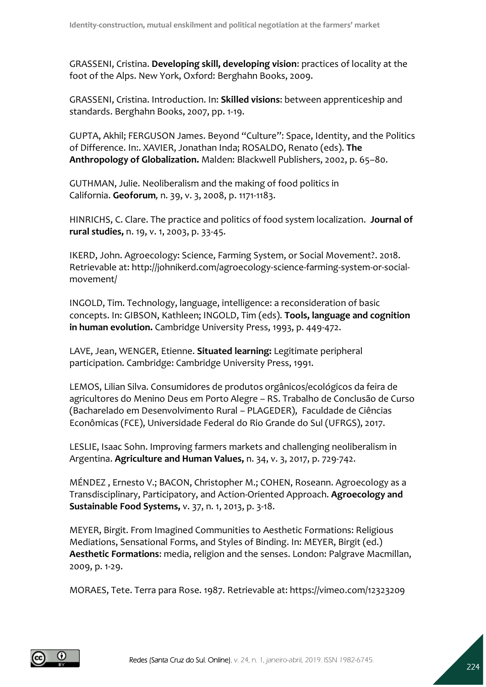GRASSENI, Cristina. **Developing skill, developing vision**: practices of locality at the foot of the Alps. New York, Oxford: Berghahn Books, 2009.

GRASSENI, Cristina. Introduction. In: **Skilled visions**: between apprenticeship and standards. Berghahn Books, 2007, pp. 1-19.

GUPTA, Akhil; FERGUSON James. Beyond "Culture": Space, Identity, and the Politics of Difference. In:. XAVIER, Jonathan Inda; ROSALDO, Renato (eds). **The Anthropology of Globalization.** Malden: Blackwell Publishers, 2002, p. 65–80.

GUTHMAN, Julie. Neoliberalism and the making of food politics in California. **Geoforum***,* n. 39, v. 3, 2008, p. 1171-1183.

HINRICHS, C. Clare. The practice and politics of food system localization. **Journal of rural studies,** n. 19, v. 1, 2003, p. 33-45.

IKERD, John. Agroecology: Science, Farming System, or Social Movement?. 2018. Retrievable at: [http://johnikerd.com/agroecology-science-farming-system-or-social](http://johnikerd.com/agroecology-science-farming-system-or-social-movement/)[movement/](http://johnikerd.com/agroecology-science-farming-system-or-social-movement/)

INGOLD, Tim. Technology, language, intelligence: a reconsideration of basic concepts. In: GIBSON, Kathleen; INGOLD, Tim (eds). **Tools, language and cognition in human evolution.** Cambridge University Press, 1993, p. 449-472.

LAVE, Jean, WENGER, Etienne. **Situated learning:** Legitimate peripheral participation. Cambridge: Cambridge University Press, 1991.

LEMOS, Lilian Silva. Consumidores de produtos orgânicos/ecológicos da feira de agricultores do Menino Deus em Porto Alegre – RS. Trabalho de Conclusão de Curso (Bacharelado em Desenvolvimento Rural – PLAGEDER), Faculdade de Ciências Econômicas (FCE), Universidade Federal do Rio Grande do Sul (UFRGS), 2017.

LESLIE, Isaac Sohn. Improving farmers markets and challenging neoliberalism in Argentina. **Agriculture and Human Values,** n. 34, v. 3, 2017, p. 729-742.

MÉNDEZ , Ernesto V.; BACON, Christopher M.; COHEN, Roseann. Agroecology as a Transdisciplinary, Participatory, and Action-Oriented Approach. **Agroecology and Sustainable Food Systems,** v. 37, n. 1, 2013, p. 3-18.

MEYER, Birgit. From Imagined Communities to Aesthetic Formations: Religious Mediations, Sensational Forms, and Styles of Binding. In: MEYER, Birgit (ed.) **Aesthetic Formations**: media, religion and the senses. London: Palgrave Macmillan, 2009, p. 1-29.

MORAES, Tete. Terra para Rose. 1987. Retrievable at:<https://vimeo.com/12323209>

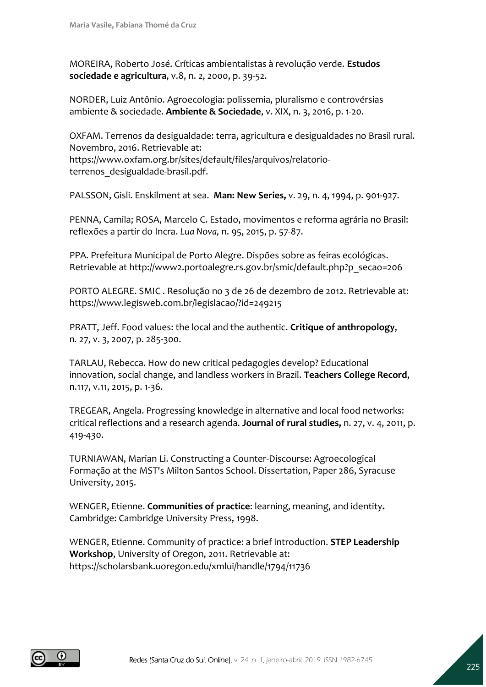MOREIRA, Roberto José. Críticas ambientalistas à revolução verde. **Estudos sociedade e agricultura**, v.8, n. 2, 2000, p. 39-52.

NORDER, Luiz Antônio. Agroecologia: polissemia, pluralismo e controvérsias ambiente & sociedade. **Ambiente & Sociedade**, v. XIX, n. 3, 2016, p. 1-20.

OXFAM. Terrenos da desigualdade: terra, agricultura e desigualdades no Brasil rural. Novembro, 2016. Retrievable at: [https://www.oxfam.org.br/sites/default/files/arquivos/relatorio](https://www.oxfam.org.br/sites/default/files/arquivos/relatorio-terrenos_desigualdade-brasil.pdf)[terrenos\\_desigualdade-brasil.pdf.](https://www.oxfam.org.br/sites/default/files/arquivos/relatorio-terrenos_desigualdade-brasil.pdf)

PALSSON, Gisli. Enskilment at sea. **Man: New Series,** v. 29, n. 4, 1994, p. 901-927.

PENNA, Camila; ROSA, Marcelo C. Estado, movimentos e reforma agrária no Brasil: reflexões a partir do Incra. *Lua Nova,* n. 95, 2015, p. 57-87.

PPA. Prefeitura Municipal de Porto Alegre. Dispões sobre as feiras ecológicas. Retrievable at [http://www2.portoalegre.rs.gov.br/smic/default.php?p\\_secao=206](http://www2.portoalegre.rs.gov.br/smic/default.php?p_secao=206)

PORTO ALEGRE. SMIC . Resolução no 3 de 26 de dezembro de 2012. Retrievable at: <https://www.legisweb.com.br/legislacao/?id=249215>

PRATT, Jeff. Food values: the local and the authentic. **Critique of anthropology**, n*.* 27, v. 3, 2007, p. 285-300.

TARLAU, Rebecca. How do new critical pedagogies develop? Educational innovation, social change, and landless workers in Brazil. **Teachers College Record**, n.117, v.11, 2015, p. 1-36.

TREGEAR, Angela. Progressing knowledge in alternative and local food networks: critical reflections and a research agenda. **Journal of rural studies,** n. 27, v. 4, 2011, p. 419-430.

TURNIAWAN, Marian Li. Constructing a Counter‐Discourse: Agroecological Formação at the MST's Milton Santos School. Dissertation, Paper 286, Syracuse University, 2015.

WENGER, Etienne. **Communities of practice**: learning, meaning, and identity**.** Cambridge: Cambridge University Press, 1998.

WENGER, Etienne. Community of practice: a brief introduction. **STEP Leadership Workshop**, University of Oregon, 2011. Retrievable at: <https://scholarsbank.uoregon.edu/xmlui/handle/1794/11736>